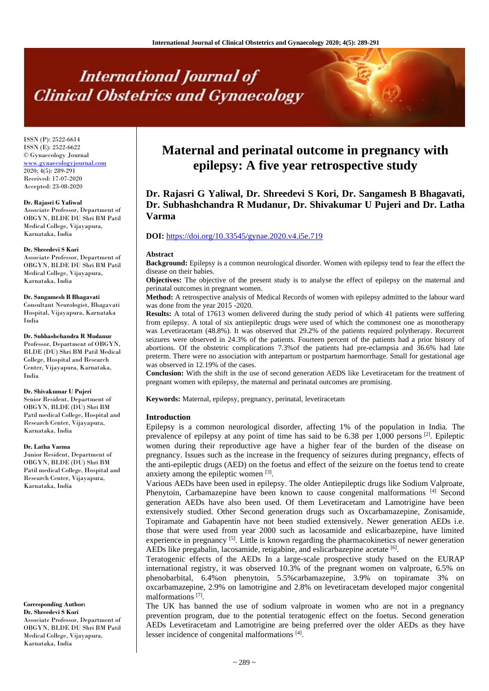# **International Journal of Clinical Obstetrics and Gynaecology**

ISSN (P): 2522-6614 ISSN (E): 2522-6622 © Gynaecology Journal [www.gynaecologyjournal.com](http://www.gynaecologyjournal.com/) 2020; 4(5): 289-291 Received: 17-07-2020 Accepted: 23-08-2020

#### **Dr. Rajasri G Yaliwal**

Associate Professor, Department of OBGYN, BLDE DU Shri BM Patil Medical College, Vijayapura, Karnataka, India

#### **Dr. Shreedevi S Kori**

Associate Professor, Department of OBGYN, BLDE DU Shri BM Patil Medical College, Vijayapura, Karnataka, India

#### **Dr. Sangamesh B Bhagavati**

Consultant Neurologist, Bhagavati Hospital, Vijayapura, Karnataka India

#### **Dr. Subhashchandra R Mudanur**

Professor, Department of OBGYN, BLDE (DU) Shri BM Patil Medical College, Hospital and Research Center, Vijayapura, Karnataka, India

#### **Dr. Shivakumar U Pujeri**

Senior Resident, Department of OBGYN, BLDE (DU) Shri BM Patil medical College, Hospital and Research Center, Vijayapura, Karnataka, India

#### **Dr. Latha Varma**

Junior Resident, Department of OBGYN, BLDE (DU) Shri BM Patil medical College, Hospital and Research Center, Vijayapura, Karnataka, India

**Corresponding Author: Dr. Shreedevi S Kori** Associate Professor, Department of OBGYN, BLDE DU Shri BM Patil Medical College, Vijayapura, Karnataka, India

# **Maternal and perinatal outcome in pregnancy with epilepsy: A five year retrospective study**

# **Dr. Rajasri G Yaliwal, Dr. Shreedevi S Kori, Dr. Sangamesh B Bhagavati, Dr. Subhashchandra R Mudanur, Dr. Shivakumar U Pujeri and Dr. Latha Varma**

## **DOI:** <https://doi.org/10.33545/gynae.2020.v4.i5e.719>

#### **Abstract**

**Background:** Epilepsy is a common neurological disorder. Women with epilepsy tend to fear the effect the disease on their babies.

**Objectives:** The objective of the present study is to analyse the effect of epilepsy on the maternal and perinatal outcomes in pregnant women.

**Method:** A retrospective analysis of Medical Records of women with epilepsy admitted to the labour ward was done from the year 2015 -2020.

**Results:** A total of 17613 women delivered during the study period of which 41 patients were suffering from epilepsy. A total of six antiepileptic drugs were used of which the commonest one as monotherapy was Levetiracetam (48.8%). It was observed that 29.2% of the patients required polytherapy. Recurrent seizures were observed in 24.3% of the patients. Fourteen percent of the patients had a prior history of abortions. Of the obstetric complications 7.3%of the patients had pre-eclampsia and 36.6% had late preterm. There were no association with antepartum or postpartum haemorrhage. Small for gestational age was observed in 12.19% of the cases.

**Conclusion:** With the shift in the use of second generation AEDS like Levetiracetam for the treatment of pregnant women with epilepsy, the maternal and perinatal outcomes are promising.

**Keywords:** Maternal, epilepsy, pregnancy, perinatal, levetiracetam

### **Introduction**

Epilepsy is a common neurological disorder, affecting 1% of the population in India. The prevalence of epilepsy at any point of time has said to be  $6.38$  per 1,000 persons  $^{[2]}$ . Epileptic women during their reproductive age have a higher fear of the burden of the disease on pregnancy. Issues such as the increase in the frequency of seizures during pregnancy, effects of the anti-epileptic drugs (AED) on the foetus and effect of the seizure on the foetus tend to create anxiety among the epileptic women [3].

Various AEDs have been used in epilepsy. The older Antiepileptic drugs like Sodium Valproate, Phenytoin, Carbamazepine have been known to cause congenital malformations [4] Second generation AEDs have also been used. Of them Levetiracetam and Lamotrigine have been extensively studied. Other Second generation drugs such as Oxcarbamazepine, Zonisamide, Topiramate and Gabapentin have not been studied extensively. Newer generation AEDs i.e. those that were used from year 2000 such as lacosamide and eslicarbazepine, have limited experience in pregnancy  $\left[5\right]$ . Little is known regarding the pharmacokinetics of newer generation AEDs like pregabalin, lacosamide, retigabine, and eslicarbazepine acetate [6].

Teratogenic effects of the AEDs In a large-scale prospective study based on the EURAP international registry, it was observed 10.3% of the pregnant women on valproate, 6.5% on phenobarbital, 6.4%on phenytoin, 5.5%carbamazepine, 3.9% on topiramate 3% on oxcarbamazepine, 2.9% on lamotrigine and 2.8% on levetiracetam developed major congenital malformations<sup>[7]</sup>.

The UK has banned the use of sodium valproate in women who are not in a pregnancy prevention program, due to the potential teratogenic effect on the foetus. Second generation AEDs Levetiracetam and Lamotrigine are being preferred over the older AEDs as they have lesser incidence of congenital malformations [4].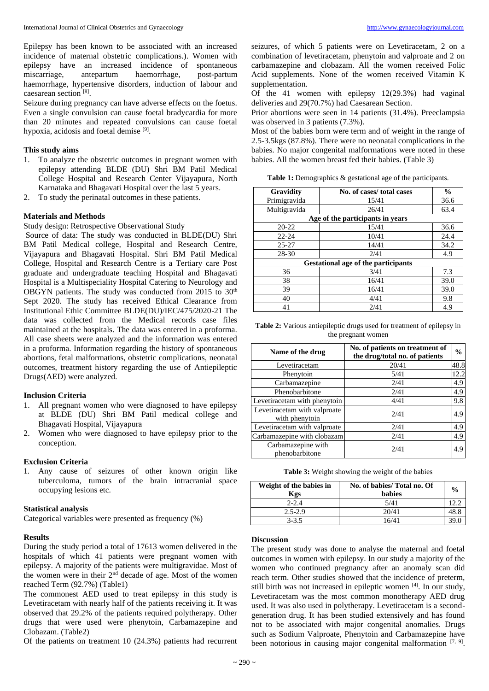Epilepsy has been known to be associated with an increased incidence of maternal obstetric complications.). Women with epilepsy have an increased incidence of spontaneous miscarriage, antepartum haemorrhage, post-partum haemorrhage, hypertensive disorders, induction of labour and caesarean section<sup>[8]</sup>.

Seizure during pregnancy can have adverse effects on the foetus. Even a single convulsion can cause foetal bradycardia for more than 20 minutes and repeated convulsions can cause foetal hypoxia, acidosis and foetal demise [9].

# **This study aims**

- 1. To analyze the obstetric outcomes in pregnant women with epilepsy attending BLDE (DU) Shri BM Patil Medical College Hospital and Research Center Vijayapura, North Karnataka and Bhagavati Hospital over the last 5 years.
- 2. To study the perinatal outcomes in these patients.

#### **Materials and Methods**

Study design: Retrospective Observational Study

Source of data: The study was conducted in BLDE(DU) Shri BM Patil Medical college, Hospital and Research Centre, Vijayapura and Bhagavati Hospital. Shri BM Patil Medical College, Hospital and Research Centre is a Tertiary care Post graduate and undergraduate teaching Hospital and Bhagavati Hospital is a Multispeciality Hospital Catering to Neurology and OBGYN patients. The study was conducted from 2015 to 30<sup>th</sup> Sept 2020. The study has received Ethical Clearance from Institutional Ethic Committee BLDE(DU)/IEC/475/2020-21 The data was collected from the Medical records case files maintained at the hospitals. The data was entered in a proforma. All case sheets were analyzed and the information was entered in a proforma. Information regarding the history of spontaneous abortions, fetal malformations, obstetric complications, neonatal outcomes, treatment history regarding the use of Antiepileptic Drugs(AED) were analyzed.

#### **Inclusion Criteria**

- 1. All pregnant women who were diagnosed to have epilepsy at BLDE (DU) Shri BM Patil medical college and Bhagavati Hospital, Vijayapura
- 2. Women who were diagnosed to have epilepsy prior to the conception.

# **Exclusion Criteria**

1. Any cause of seizures of other known origin like tuberculoma, tumors of the brain intracranial space occupying lesions etc.

# **Statistical analysis**

Categorical variables were presented as frequency (%)

# **Results**

During the study period a total of 17613 women delivered in the hospitals of which 41 patients were pregnant women with epilepsy. A majority of the patients were multigravidae. Most of the women were in their 2nd decade of age. Most of the women reached Term (92.7%) (Table1)

The commonest AED used to treat epilepsy in this study is Levetiracetam with nearly half of the patients receiving it. It was observed that 29.2% of the patients required polytherapy. Other drugs that were used were phenytoin, Carbamazepine and Clobazam. (Table2)

Of the patients on treatment 10 (24.3%) patients had recurrent

seizures, of which 5 patients were on Levetiracetam, 2 on a combination of levetiracetam, phenytoin and valproate and 2 on carbamazepine and clobazam. All the women received Folic Acid supplements. None of the women received Vitamin K supplementation.

Of the 41 women with epilepsy 12(29.3%) had vaginal deliveries and 29(70.7%) had Caesarean Section.

Prior abortions were seen in 14 patients (31.4%). Preeclampsia was observed in 3 patients (7.3%).

Most of the babies born were term and of weight in the range of 2.5-3.5kgs (87.8%). There were no neonatal complications in the babies. No major congenital malformations were noted in these babies. All the women breast fed their babies. (Table 3)

| <b>Gravidity</b>                           | No. of cases/total cases | $\frac{0}{0}$ |  |  |
|--------------------------------------------|--------------------------|---------------|--|--|
| Primigravida                               | 15/41                    | 36.6          |  |  |
| Multigravida                               | 26/41                    | 63.4          |  |  |
| Age of the participants in years           |                          |               |  |  |
| $20 - 22$                                  | 15/41                    | 36.6          |  |  |
| $22 - 24$                                  | 10/41                    | 24.4          |  |  |
| $25 - 27$                                  | 14/41                    | 34.2          |  |  |
| 28-30                                      | 2/41                     | 4.9           |  |  |
| <b>Gestational age of the participants</b> |                          |               |  |  |
| 36                                         | 3/41                     | 7.3           |  |  |
| 38                                         | 16/41                    | 39.0          |  |  |
| 39                                         | 16/41                    | 39.0          |  |  |
| 40                                         | 4/41                     | 9.8           |  |  |
| 41                                         | 2/41                     | 4.9           |  |  |

**Table 2:** Various antiepileptic drugs used for treatment of epilepsy in the pregnant women

| Name of the drug                               | No. of patients on treatment of<br>the drug/total no. of patients | $\frac{0}{0}$ |
|------------------------------------------------|-------------------------------------------------------------------|---------------|
| Levetiracetam                                  | 20/41                                                             | 48.8          |
| Phenytoin                                      | 5/41                                                              | 12.2          |
| Carbamazepine                                  | 2/41                                                              | 4.9           |
| Phenobarbitone                                 | 2/41                                                              | 4.9           |
| Levetiracetam with phenytoin                   | 4/41                                                              | 9.8           |
| Levetiracetam with valproate<br>with phenytoin | 2/41                                                              | 4.9           |
| Levetiracetam with valproate                   | 2/41                                                              | 4.9           |
| Carbamazepine with clobazam                    | 2/41                                                              | 4.9           |
| Carbamazepine with<br>phenobarbitone           | 2/41                                                              | 4.9           |

**Table 3:** Weight showing the weight of the babies

| Weight of the babies in<br>Kgs | No. of babies/ Total no. Of<br><b>babies</b> | $\frac{0}{0}$ |
|--------------------------------|----------------------------------------------|---------------|
| $2 - 2.4$                      | 5/41                                         |               |
| $2.5 - 2.9$                    | 20/41                                        | 48.8          |
| $3 - 3.5$                      | 16/41                                        | 39 G          |

#### **Discussion**

The present study was done to analyse the maternal and foetal outcomes in women with epilepsy. In our study a majority of the women who continued pregnancy after an anomaly scan did reach term. Other studies showed that the incidence of preterm, still birth was not increased in epileptic women  $[4]$ . In our study, Levetiracetam was the most common monotherapy AED drug used. It was also used in polytherapy. Levetiracetam is a secondgeneration drug. It has been studied extensively and has found not to be associated with major congenital anomalies. Drugs such as Sodium Valproate, Phenytoin and Carbamazepine have been notorious in causing major congenital malformation  $[7, 9]$ .